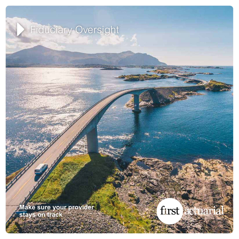# Fiduciary Oversight

**Make sure your provider stays on track**

first actuarial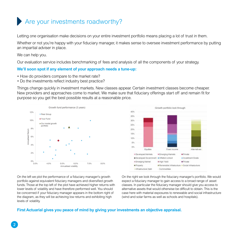## Are your investments roadworthy?

Letting one organisation make decisions on your entire investment portfolio means placing a lot of trust in them.

Whether or not you're happy with your fiduciary manager, it makes sense to oversee investment performance by putting an impartial adviser in place.

We can help you.

Our evaluation service includes benchmarking of fees and analysis of all the components of your strategy.

#### **We'll soon spot if any element of your approach needs a tune-up:**

- How do providers compare to the market rate?
- Do the investments reflect industry best practice?

Things change quickly in investment markets. New classes appear. Certain investment classes become cheaper. New providers and approaches come to market. We make sure that fiduciary offerings start off and remain fit for purpose so you get the best possible results at a reasonable price.





On the left we plot the performance of a fiduciary manager's growth portfolio against equivalent fiduciary managers and diversified growth funds. Those at the top left of the plot have achieved higher returns with lower levels of volatility and have therefore performed well. You should be concerned if your fiduciary manager appears in the bottom right of the diagram, as they will be achieving low returns and exhibiting high levels of volatility.

On the right we look through the fiduciary manager's portfolio. We would expect a fiduciary manager to gain access to a broad range of asset classes. In particular the fiduciary manager should give you access to alternative assets that would otherwise be difficult to obtain. This is the case here with material exposures to renewable and social infrastructure (wind and solar farms as well as schools and hospitals).

#### **First Actuarial gives you peace of mind by giving your investments an objective appraisal.**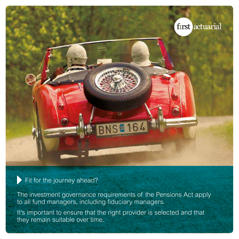

Fit for the journey ahead?

The investment governance requirements of the Pensions Act apply to all fund managers, including fiduciary managers.

It's important to ensure that the right provider is selected and that they remain suitable over time.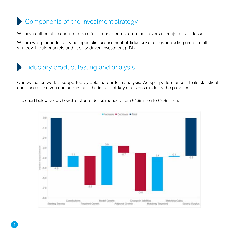## Components of the investment strategy

We have authoritative and up-to-date fund manager research that covers all major asset classes.

We are well placed to carry out specialist assessment of fiduciary strategy, including credit, multistrategy, illiquid markets and liability-driven investment (LDI).

## Fiduciary product testing and analysis

Our evaluation work is supported by detailed portfolio analysis. We split performance into its statistical components, so you can understand the impact of key decisions made by the provider.

The chart below shows how this client's deficit reduced from £4.9million to £3.8million.

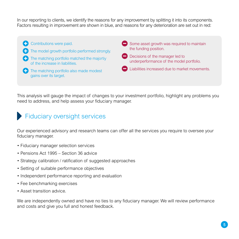In our reporting to clients, we identify the reasons for any improvement by splitting it into its components. Factors resulting in improvement are shown in blue, and reasons for any deterioration are set out in red:

**Contributions were paid. The model growth portfolio performed strongly. The matching portfolio matched the majortiv** of the increase in liabilities. **The matching portfolio also made modest** gains over its target.  $\Box$  Some asset growth was required to maintain the funding position. **Decisions of the manager led to** underperformance of the model portfolio. Liabilities increased due to market movements.

This analysis will gauge the impact of changes to your investment portfolio, highlight any problems you need to address, and help assess your fiduciary manager.

## Fiduciary oversight services

Our experienced advisory and research teams can offer all the services you require to oversee your fiduciary manager.

- Fiduciary manager selection services
- Pensions Act 1995 Section 36 advice
- Strategy calibration / ratification of suggested approaches
- Setting of suitable performance objectives
- Independent performance reporting and evaluation
- Fee benchmarking exercises
- Asset transition advice.

We are independently owned and have no ties to any fiduciary manager. We will review performance and costs and give you full and honest feedback.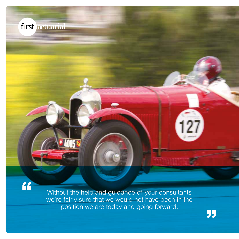Without the help and guidance of your consultants we're fairly sure that we would not have been in the position we are today and going forward.

f rst actuarial

 $\overline{\mathbf{G}}$ 

"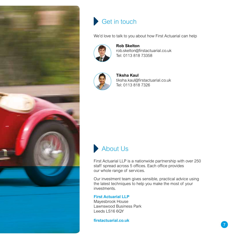



We'd love to talk to you about how First Actuarial can help



**Rob Skelton** rob.skelton@firstactuarial.co.uk Tel: 0113 818 73358



**Tiksha Kaul** tiksha.kaul@firstactuarial.co.uk Tel: 0113 818 7326



First Actuarial LLP is a nationwide partnership with over 250 staff spread across 5 offices. Each office provides our whole range of services.

Our investment team gives sensible, practical advice using the latest techniques to help you make the most of your investments.

#### **First Actuarial LLP** Mayesbrook House

Lawnswood Business Park Leeds LS16 6QY

**firstactuarial.co.uk**